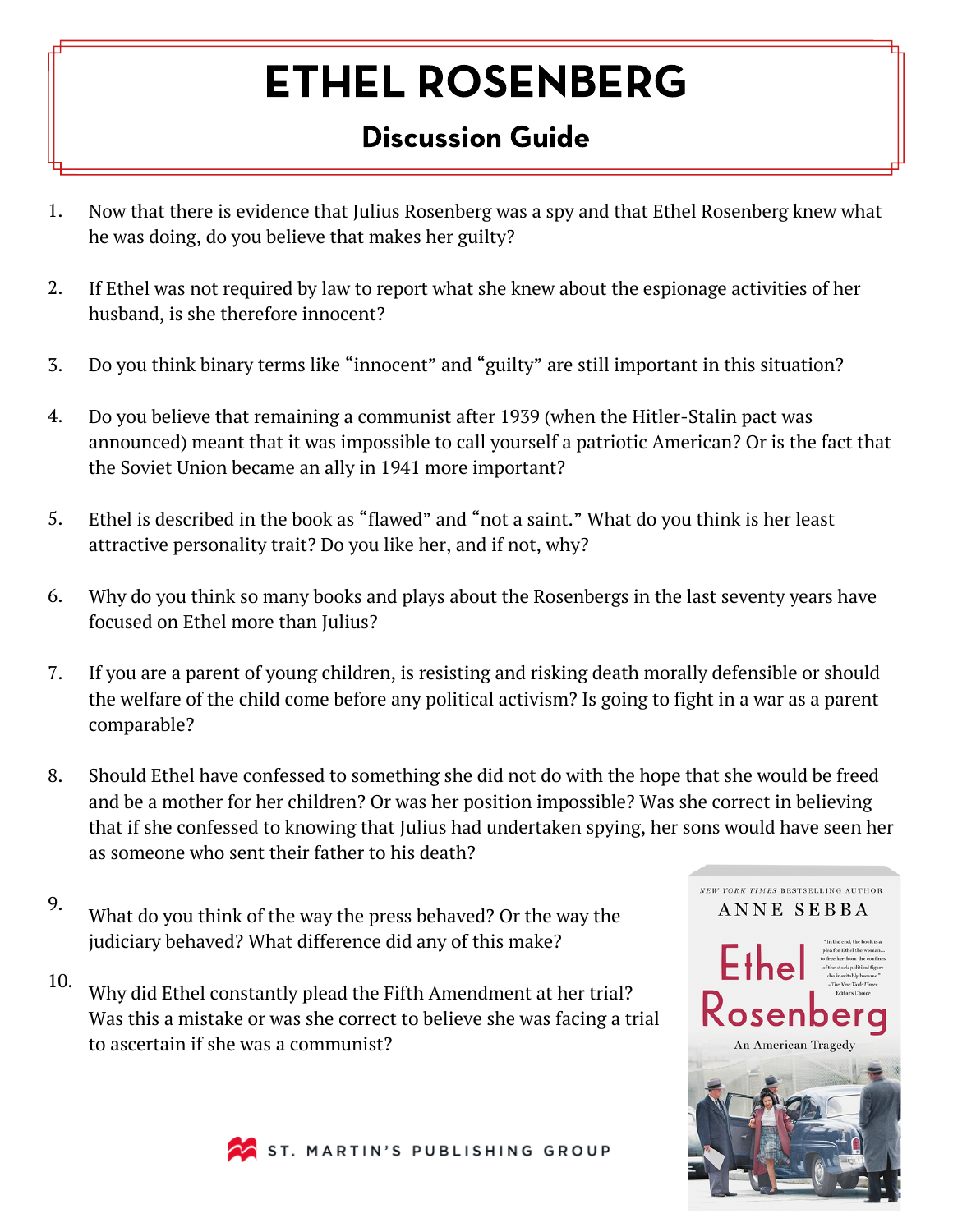## ETHEL ROSENBERG

## Discussion Guide

- Now that there is evidence that Julius Rosenberg was a spy and that Ethel Rosenberg knew what he was doing, do you believe that makes her guilty? 1.
- If Ethel was not required by law to report what she knew about the espionage activities of her husband, is she therefore innocent? 2.
- Do you think binary terms like "innocent" and "guilty" are still important in this situation? 3.
- Do you believe that remaining a communist after 1939 (when the Hitler-Stalin pact was announced) meant that it was impossible to call yourself a patriotic American? Or is the fact that the Soviet Union became an ally in 1941 more important? 4.
- Ethel is described in the book as "flawed" and "not a saint." What do you think is her least attractive personality trait? Do you like her, and if not, why? 5.
- Why do you think so many books and plays about the Rosenbergs in the last seventy years have focused on Ethel more than Julius? 6.
- If you are a parent of young children, is resisting and risking death morally defensible or should the welfare of the child come before any political activism? Is going to fight in a war as a parent comparable? 7.
- Should Ethel have confessed to something she did not do with the hope that she would be freed and be a mother for her children? Or was her position impossible? Was she correct in believing that if she confessed to knowing that Julius had undertaken spying, her sons would have seen her as someone who sent their father to his death? 8.
- 9. What do you think of the way the press behaved? Or the way the judiciary behaved? What difference did any of this make?
- 10. Why did Ethel constantly plead the Fifth Amendment at her trial? Was this a mistake or was she correct to believe she was facing a trial to ascertain if she was a communist?





ST. MARTIN'S PUBLISHING GROUP